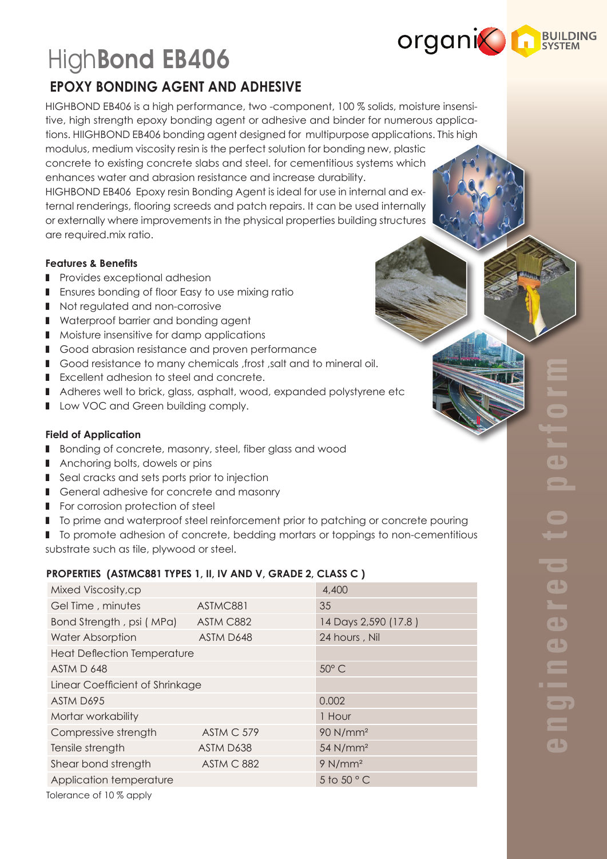

a b

 $\qquad \qquad$ 

 $\overline{\phantom{a}}$ 

 $\blacksquare$ 

a b

**See In** 

 $\overline{\mathsf{d}}$ 

# HighBond EB406

# **EPOXY BONDING AGENT AND ADHESIVE**

HIGHBOND EB406 is a high performance, two -component, 100 % solids, moisture insensitive, high strength epoxy bonding agent or adhesive and binder for numerous applications. HIIGHBOND EB406 bonding agent designed for multipurpose applications. This high modulus, medium viscosity resin is the perfect solution for bonding new, plastic concrete to existing concrete slabs and steel. for cementitious systems which enhances water and abrasion resistance and increase durability. HIGHBOND EB406 Epoxy resin Bonding Agent is ideal for use in internal and external renderings, flooring screeds and patch repairs. It can be used internally or externally where improvements in the physical properties building structures are required.mix ratio.

### **Features & Benefits**

- Provides exceptional adhesion
- Ensures bonding of floor Easy to use mixing ratio
- Not regulated and non-corrosive
- Waterproof barrier and bonding agent
- Moisture insensitive for damp applications
- Good abrasion resistance and proven performance
- Good resistance to many chemicals , frost , salt and to mineral oil.
- Excellent adhesion to steel and concrete.
- Adheres well to brick, glass, asphalt, wood, expanded polystyrene etc
- Low VOC and Green building comply.

## **Field of Application**

- Bonding of concrete, masonry, steel, fiber glass and wood
- Anchoring bolts, dowels or pins
- Seal cracks and sets ports prior to injection
- General adhesive for concrete and masonry
- For corrosion protection of steel
- To prime and waterproof steel reinforcement prior to patching or concrete pouring
- To promote adhesion of concrete, bedding mortars or toppings to non-cementitious
- substrate such as tile, plywood or steel.

# **PROPERTIES (ASTMC881 TYPES 1, II, IV AND V, GRADE 2, CLASS C )**

| Mixed Viscosity,cp                 |            | 4,400                |
|------------------------------------|------------|----------------------|
| Gel Time, minutes                  | ASTMC881   | 35                   |
| Bond Strength, psi (MPa)           | ASTM C882  | 14 Days 2,590 (17.8) |
| <b>Water Absorption</b>            | ASTM D648  | 24 hours, Nil        |
| <b>Heat Deflection Temperature</b> |            |                      |
| ASTM D 648                         |            | 50° C                |
| Linear Coefficient of Shrinkage    |            |                      |
| ASTM D695                          |            | 0.002                |
| Mortar workability                 |            | 1 Hour               |
| Compressive strength               | ASTM C 579 | 90 N/mm <sup>2</sup> |
| Tensile strength                   | ASTM D638  | 54 N/mm <sup>2</sup> |
| Shear bond strength                | ASTM C 882 | 9 N/mm <sup>2</sup>  |
| Application temperature            |            | 5 to 50 $^{\circ}$ C |
| Tolerance of 10 % apply            |            |                      |